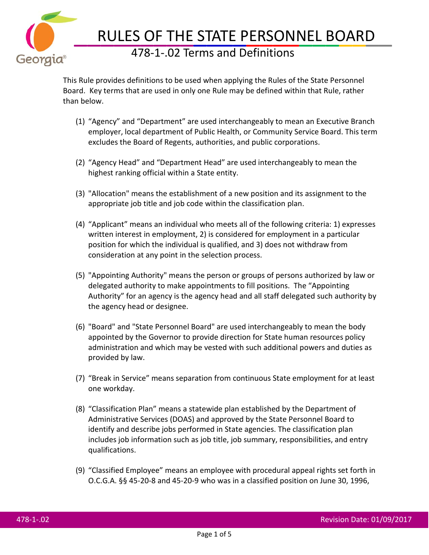

## RULES OF THE STATE PERSONNEL BOARD 478-1-.02 Terms and Definitions

This Rule provides definitions to be used when applying the Rules of the State Personnel Board. Key terms that are used in only one Rule may be defined within that Rule, rather than below.

- (1) "Agency" and "Department" are used interchangeably to mean an Executive Branch employer, local department of Public Health, or Community Service Board. This term excludes the Board of Regents, authorities, and public corporations.
- (2) "Agency Head" and "Department Head" are used interchangeably to mean the highest ranking official within a State entity.
- (3) "Allocation" means the establishment of a new position and its assignment to the appropriate job title and job code within the classification plan.
- (4) "Applicant" means an individual who meets all of the following criteria: 1) expresses written interest in employment, 2) is considered for employment in a particular position for which the individual is qualified, and 3) does not withdraw from consideration at any point in the selection process.
- (5) "Appointing Authority" means the person or groups of persons authorized by law or delegated authority to make appointments to fill positions. The "Appointing Authority" for an agency is the agency head and all staff delegated such authority by the agency head or designee.
- (6) "Board" and "State Personnel Board" are used interchangeably to mean the body appointed by the Governor to provide direction for State human resources policy administration and which may be vested with such additional powers and duties as provided by law.
- (7) "Break in Service" means separation from continuous State employment for at least one workday.
- (8) "Classification Plan" means a statewide plan established by the Department of Administrative Services (DOAS) and approved by the State Personnel Board to identify and describe jobs performed in State agencies. The classification plan includes job information such as job title, job summary, responsibilities, and entry qualifications.
- (9) "Classified Employee" means an employee with procedural appeal rights set forth in O.C.G.A. §§ 45-20-8 and 45-20-9 who was in a classified position on June 30, 1996,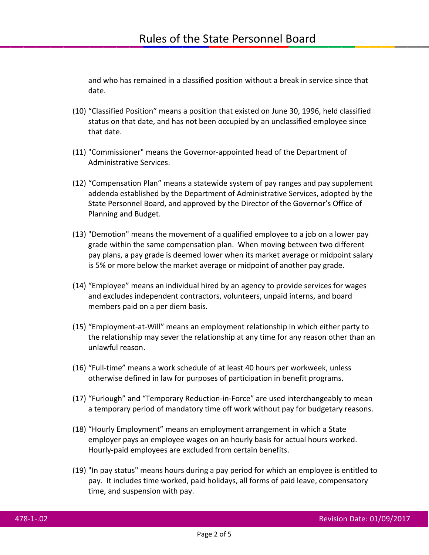and who has remained in a classified position without a break in service since that date.

- (10) "Classified Position" means a position that existed on June 30, 1996, held classified status on that date, and has not been occupied by an unclassified employee since that date.
- (11) "Commissioner" means the Governor-appointed head of the Department of Administrative Services.
- (12) "Compensation Plan" means a statewide system of pay ranges and pay supplement addenda established by the Department of Administrative Services, adopted by the State Personnel Board, and approved by the Director of the Governor's Office of Planning and Budget.
- (13) "Demotion" means the movement of a qualified employee to a job on a lower pay grade within the same compensation plan. When moving between two different pay plans, a pay grade is deemed lower when its market average or midpoint salary is 5% or more below the market average or midpoint of another pay grade.
- (14) "Employee" means an individual hired by an agency to provide services for wages and excludes independent contractors, volunteers, unpaid interns, and board members paid on a per diem basis.
- (15) "Employment-at-Will" means an employment relationship in which either party to the relationship may sever the relationship at any time for any reason other than an unlawful reason.
- (16) "Full-time" means a work schedule of at least 40 hours per workweek, unless otherwise defined in law for purposes of participation in benefit programs.
- (17) "Furlough" and "Temporary Reduction-in-Force" are used interchangeably to mean a temporary period of mandatory time off work without pay for budgetary reasons.
- (18) "Hourly Employment" means an employment arrangement in which a State employer pays an employee wages on an hourly basis for actual hours worked. Hourly-paid employees are excluded from certain benefits.
- (19) "In pay status" means hours during a pay period for which an employee is entitled to pay. It includes time worked, paid holidays, all forms of paid leave, compensatory time, and suspension with pay.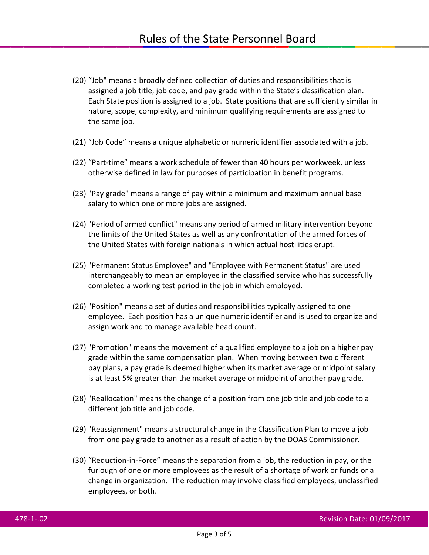- (20) "Job" means a broadly defined collection of duties and responsibilities that is assigned a job title, job code, and pay grade within the State's classification plan. Each State position is assigned to a job. State positions that are sufficiently similar in nature, scope, complexity, and minimum qualifying requirements are assigned to the same job.
- (21) "Job Code" means a unique alphabetic or numeric identifier associated with a job.
- (22) "Part-time" means a work schedule of fewer than 40 hours per workweek, unless otherwise defined in law for purposes of participation in benefit programs.
- (23) "Pay grade" means a range of pay within a minimum and maximum annual base salary to which one or more jobs are assigned.
- (24) "Period of armed conflict" means any period of armed military intervention beyond the limits of the United States as well as any confrontation of the armed forces of the United States with foreign nationals in which actual hostilities erupt.
- (25) "Permanent Status Employee" and "Employee with Permanent Status" are used interchangeably to mean an employee in the classified service who has successfully completed a working test period in the job in which employed.
- (26) "Position" means a set of duties and responsibilities typically assigned to one employee. Each position has a unique numeric identifier and is used to organize and assign work and to manage available head count.
- (27) "Promotion" means the movement of a qualified employee to a job on a higher pay grade within the same compensation plan. When moving between two different pay plans, a pay grade is deemed higher when its market average or midpoint salary is at least 5% greater than the market average or midpoint of another pay grade.
- (28) "Reallocation" means the change of a position from one job title and job code to a different job title and job code.
- (29) "Reassignment" means a structural change in the Classification Plan to move a job from one pay grade to another as a result of action by the DOAS Commissioner.
- (30) "Reduction-in-Force" means the separation from a job, the reduction in pay, or the furlough of one or more employees as the result of a shortage of work or funds or a change in organization. The reduction may involve classified employees, unclassified employees, or both.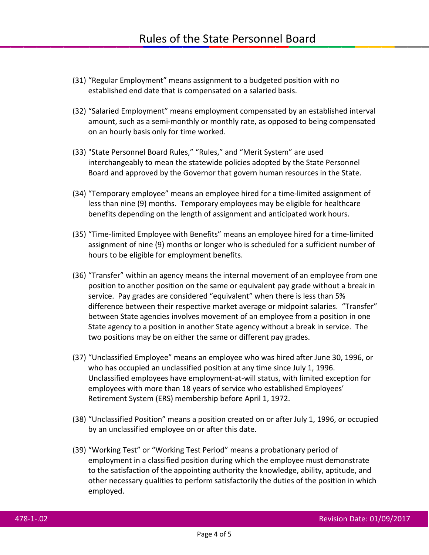- (31) "Regular Employment" means assignment to a budgeted position with no established end date that is compensated on a salaried basis.
- (32) "Salaried Employment" means employment compensated by an established interval amount, such as a semi-monthly or monthly rate, as opposed to being compensated on an hourly basis only for time worked.
- (33) "State Personnel Board Rules," "Rules," and "Merit System" are used interchangeably to mean the statewide policies adopted by the State Personnel Board and approved by the Governor that govern human resources in the State.
- (34) "Temporary employee" means an employee hired for a time-limited assignment of less than nine (9) months. Temporary employees may be eligible for healthcare benefits depending on the length of assignment and anticipated work hours.
- (35) "Time-limited Employee with Benefits" means an employee hired for a time-limited assignment of nine (9) months or longer who is scheduled for a sufficient number of hours to be eligible for employment benefits.
- (36) "Transfer" within an agency means the internal movement of an employee from one position to another position on the same or equivalent pay grade without a break in service. Pay grades are considered "equivalent" when there is less than 5% difference between their respective market average or midpoint salaries. "Transfer" between State agencies involves movement of an employee from a position in one State agency to a position in another State agency without a break in service. The two positions may be on either the same or different pay grades.
- (37) "Unclassified Employee" means an employee who was hired after June 30, 1996, or who has occupied an unclassified position at any time since July 1, 1996. Unclassified employees have employment-at-will status, with limited exception for employees with more than 18 years of service who established Employees' Retirement System (ERS) membership before April 1, 1972.
- (38) "Unclassified Position" means a position created on or after July 1, 1996, or occupied by an unclassified employee on or after this date.
- (39) "Working Test" or "Working Test Period" means a probationary period of employment in a classified position during which the employee must demonstrate to the satisfaction of the appointing authority the knowledge, ability, aptitude, and other necessary qualities to perform satisfactorily the duties of the position in which employed.